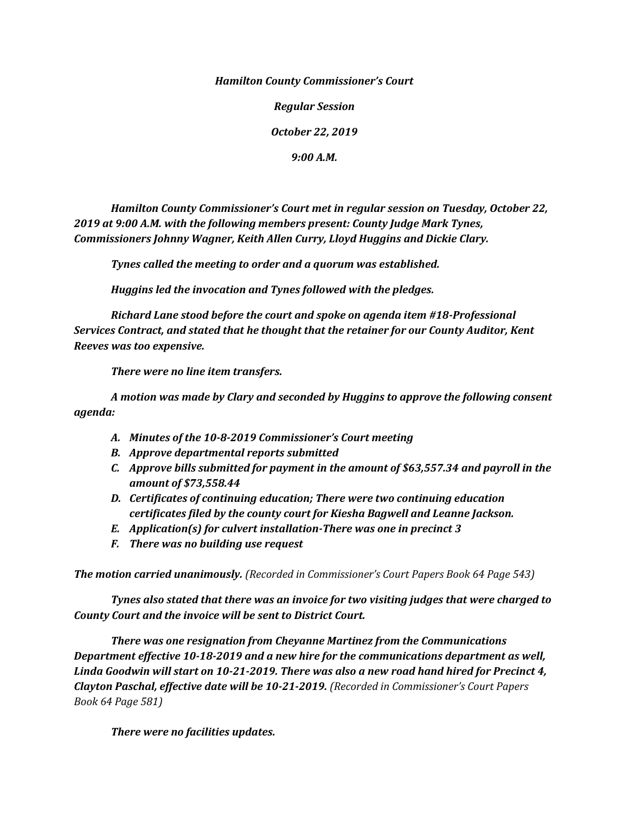*Hamilton County Commissioner's Court*

*Regular Session*

*October 22, 2019*

*9:00 A.M.*

*Hamilton County Commissioner's Court met in regular session on Tuesday, October 22, 2019 at 9:00 A.M. with the following members present: County Judge Mark Tynes, Commissioners Johnny Wagner, Keith Allen Curry, Lloyd Huggins and Dickie Clary.*

*Tynes called the meeting to order and a quorum was established.*

*Huggins led the invocation and Tynes followed with the pledges.*

*Richard Lane stood before the court and spoke on agenda item #18-Professional Services Contract, and stated that he thought that the retainer for our County Auditor, Kent Reeves was too expensive.*

*There were no line item transfers.*

*A motion was made by Clary and seconded by Huggins to approve the following consent agenda:*

- *A. Minutes of the 10-8-2019 Commissioner's Court meeting*
- *B. Approve departmental reports submitted*
- *C. Approve bills submitted for payment in the amount of \$63,557.34 and payroll in the amount of \$73,558.44*
- *D. Certificates of continuing education; There were two continuing education certificates filed by the county court for Kiesha Bagwell and Leanne Jackson.*
- *E. Application(s) for culvert installation-There was one in precinct 3*
- *F. There was no building use request*

*The motion carried unanimously. (Recorded in Commissioner's Court Papers Book 64 Page 543)*

*Tynes also stated that there was an invoice for two visiting judges that were charged to County Court and the invoice will be sent to District Court.* 

*There was one resignation from Cheyanne Martinez from the Communications Department effective 10-18-2019 and a new hire for the communications department as well, Linda Goodwin will start on 10-21-2019. There was also a new road hand hired for Precinct 4, Clayton Paschal, effective date will be 10-21-2019. (Recorded in Commissioner's Court Papers Book 64 Page 581)*

*There were no facilities updates.*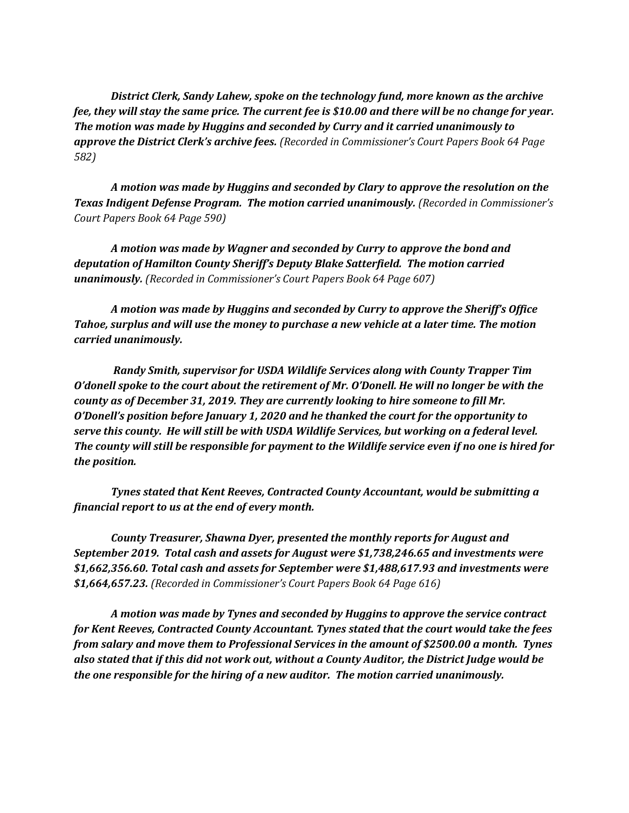*District Clerk, Sandy Lahew, spoke on the technology fund, more known as the archive fee, they will stay the same price. The current fee is \$10.00 and there will be no change for year. The motion was made by Huggins and seconded by Curry and it carried unanimously to approve the District Clerk's archive fees. (Recorded in Commissioner's Court Papers Book 64 Page 582)*

*A motion was made by Huggins and seconded by Clary to approve the resolution on the Texas Indigent Defense Program. The motion carried unanimously. (Recorded in Commissioner's Court Papers Book 64 Page 590)*

*A motion was made by Wagner and seconded by Curry to approve the bond and deputation of Hamilton County Sheriff's Deputy Blake Satterfield. The motion carried unanimously. (Recorded in Commissioner's Court Papers Book 64 Page 607)*

*A motion was made by Huggins and seconded by Curry to approve the Sheriff's Office Tahoe, surplus and will use the money to purchase a new vehicle at a later time. The motion carried unanimously.* 

*Randy Smith, supervisor for USDA Wildlife Services along with County Trapper Tim O'donell spoke to the court about the retirement of Mr. O'Donell. He will no longer be with the county as of December 31, 2019. They are currently looking to hire someone to fill Mr. O'Donell's position before January 1, 2020 and he thanked the court for the opportunity to serve this county. He will still be with USDA Wildlife Services, but working on a federal level. The county will still be responsible for payment to the Wildlife service even if no one is hired for the position.*

*Tynes stated that Kent Reeves, Contracted County Accountant, would be submitting a financial report to us at the end of every month.* 

*County Treasurer, Shawna Dyer, presented the monthly reports for August and September 2019. Total cash and assets for August were \$1,738,246.65 and investments were \$1,662,356.60. Total cash and assets for September were \$1,488,617.93 and investments were \$1,664,657.23. (Recorded in Commissioner's Court Papers Book 64 Page 616)*

*A motion was made by Tynes and seconded by Huggins to approve the service contract for Kent Reeves, Contracted County Accountant. Tynes stated that the court would take the fees from salary and move them to Professional Services in the amount of \$2500.00 a month. Tynes also stated that if this did not work out, without a County Auditor, the District Judge would be the one responsible for the hiring of a new auditor. The motion carried unanimously.*